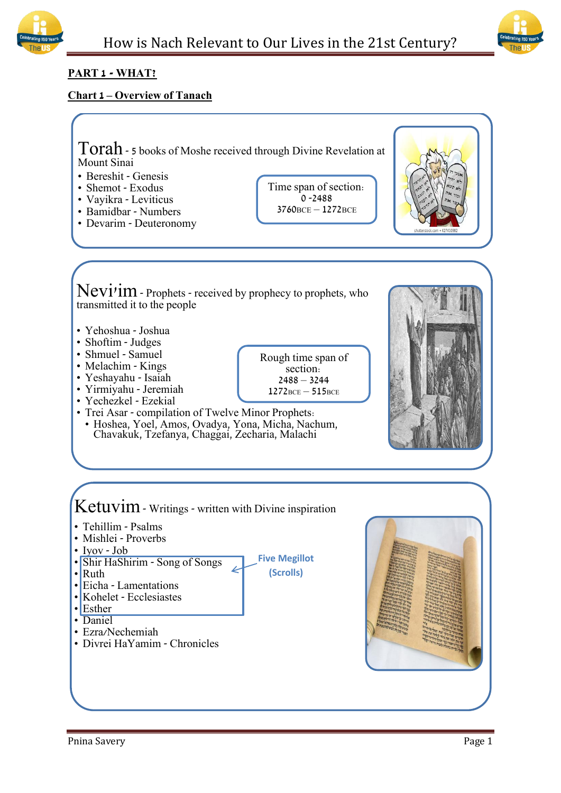



# **PART 1 - WHAT?**

# **Chart 1 – Overview of Tanach**

Torah- 5 books of Moshe received through Divine Revelation at Mount Sinai

- Bereshit Genesis
- Shemot Exodus
- Vayikra Leviticus
- Bamidbar Numbers
- Devarim Deuteronomy

Time span of section:  $0 - 2488$ 3760BCE – 1272BCE



Nevi'im - Prophets - received by prophecy to prophets, who transmitted it to the people

- Yehoshua Joshua
- Shoftim Judges
- Shmuel Samuel
- Melachim Kings
- Yeshayahu Isaiah
- Yirmiyahu Jeremiah
- Yechezkel Ezekial
- $2488 3244$  $1272$ BCE –  $515$ BCE

**Five Megillot (Scrolls)**

Rough time span of section:

- Trei Asar compilation of Twelve Minor Prophets:
- Hoshea, Yoel, Amos, Ovadya, Yona, Micha, Nachum, Chavakuk, Tzefanya, Chaggai, Zecharia, Malachi



Ketuvim - Writings - written with Divine inspiration

- Tehillim Psalms
- Mishlei Proverbs
- Iyov Job
- Shir HaShirim Song of Songs
- Ruth
- Eicha Lamentations
- Kohelet Ecclesiastes
- $\cdot$  Esther
- Daniel
- Ezra/Nechemiah
- Divrei HaYamim Chronicles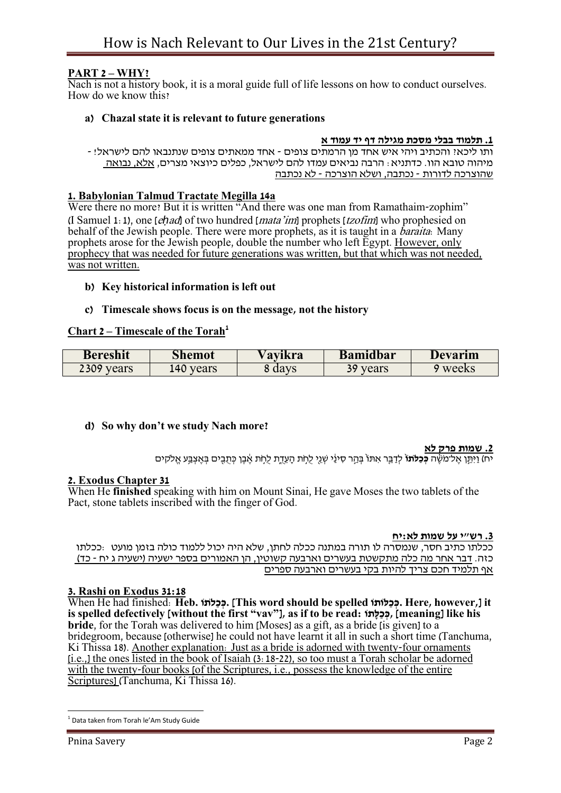# **PART 2 – WHY?**

Nach is not a history book, it is a moral guide full of life lessons on how to conduct ourselves. How do we know this?

## **a) Chazal state it is relevant to future generations**

### **.1 תלמוד בבלי מסכת מגילה דף יד עמוד א**

ותו ליכא? והכתיב ויהי איש אחד מן הרמתים צופים - אחד ממאתים צופים שנתנבאו להם לישראל! - מיהוה טובא הוו. כדתניא: הרבה נביאים עמדו להם לישראל, כפלים כיוצאי מצרים, אלא, נבואה שהוצרכה לדורות - נכתבה, ושלא הוצרכה - לא נכתבה

### **1. Babylonian Talmud Tractate Megilla 14a**

Were there no more? But it is written "And there was one man from Ramathaim-zophim" (I Samuel 1:1), one [e*ḥ*ad] of two hundred [mata'im] prophets [tzofim] who prophesied on behalf of the Jewish people. There were more prophets, as it is taught in a *baraita*: Many prophets arose for the Jewish people, double the number who left Egypt. However, only prophecy that was needed for future generations was written, but that which was not needed, was not written.

### **b) Key historical information is left out**

### **c) Timescale shows focus is on the message, not the history**

### **Chart 2 – Timescale of the Torah<sup>1</sup>**

| <b>Bereshit</b> | Shemot    | ∨avıkra | Bamidbar     | Devarım |
|-----------------|-----------|---------|--------------|---------|
| 2309<br>vears   | .40 years | days    | 39.<br>years | weeks   |

### **d) So why don't we study Nach more?**

#### **.2 שמות פרק לא**

יח) וַיִּתְּן אל־מֹשׂה **כּכִלתוֹ** לִדְבֵּר אִתּוֹ בַּהֵר סִינַּי שְׁנֵי לִחִת הַעִדת לַחִת אִבן כִּתְבִים בַּאֲצַבַּע אַלקים

### **2. Exodus Chapter 31**

When He **finished** speaking with him on Mount Sinai, He gave Moses the two tablets of the Pact, stone tablets inscribed with the finger of God.

#### **.3 רש"י על שמות לא:יח**

ככלתו כתיב חסר, שנמסרה לו תורה במתנה ככלה לחתן, שלא היה יכול ללמוד כולה בזמן מועט :ככלתו כזה. דבר אחר מה כלה מתקשטת בעשרים וארבעה קשוטין, הן האמורים בספר ישעיה )ישעיה ג יח - כד( אף תלמיד חכם צריך להיות בקי בעשרים וארבעה ספרים

#### **3. Rashi on Exodus 31:18**

When He had finished: **Heb. לתוַֹכ ְּכ.] This word should be spelled לותוַּכ ְּכ. Here, however,] it**  is spelled defectively [without the first "vav"], as if to be read: הְכָלָתוֹ, [meaning] like his **bride**, for the Torah was delivered to him [Moses] as a gift, as a bride [is given] to a bridegroom, because [otherwise] he could not have learnt it all in such a short time (Tanchuma, Ki Thissa 18). Another explanation: Just as a bride is adorned with twenty-four ornaments [i.e.,] the ones listed in the book of [Isaiah \(3:18-](https://www.chabad.org/15934#v18)22), so too must a Torah scholar be adorned with the twenty-four books [of the Scriptures, i.e., possess the knowledge of the entire Scriptures] (Tanchuma, Ki Thissa 16).

**Tandara<br><sup>1</sup> Data taken from Torah le'Am Study Guide**